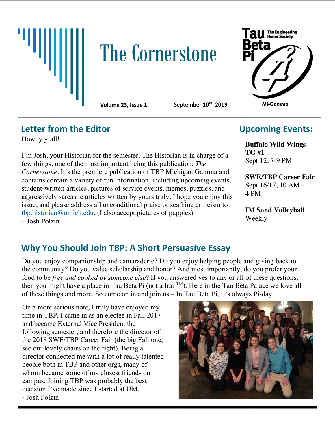

# **The Cornerstone**



**Volume 23, Issue 1 September 10th, 2019**

#### **Letter from the Editor**

Howdy y'all!

I'm Josh, your Historian for the semester. The Historian is in charge of a few things, one of the most important being this publication: *The Cornerstone*. It's the premiere publication of TBP Michigan Gamma and contains contain a variety of fun information, including upcoming events, student-written articles, pictures of service events, memes, puzzles, and aggressively sarcastic articles written by yours truly. I hope you enjoy this issue, and please address all unconditional praise or scathing criticism to tbp.historian@umich.edu. (I also accept pictures of puppies) – Josh Polzin

## **Upcoming Events:**

**Buffalo Wild Wings TG #1**  Sept 12, 7-9 PM

**SWE/TBP Career Fair**  Sept 16/17, 10 AM – 4 PM

**IM Sand Volleyball**  Weekly

## **Why You Should Join TBP: A Short Persuasive Essay**

Do you enjoy companionship and camaraderie? Do you enjoy helping people and giving back to the community? Do you value scholarship and honor? And most importantly, do you prefer your food to be *free and cooked by someone else*? If you answered yes to any or all of these questions, then you might have a place in Tau Beta Pi (not a frat TM). Here in the Tau Beta Palace we love all of these things and more. So come on in and join us – In Tau Beta Pi, it's always Pi-day.

On a more serious note, I truly have enjoyed my time in TBP. I came in as an electee in Fall 2017 and became External Vice President the following semester, and therefore the director of the 2018 SWE/TBP Career Fair (the big Fall one, see our lovely chairs on the right). Being a director connected me with a lot of really talented people both in TBP and other orgs, many of whom became some of my closest friends on campus. Joining TBP was probably the best decision I've made since I started at UM. - Josh Polzin